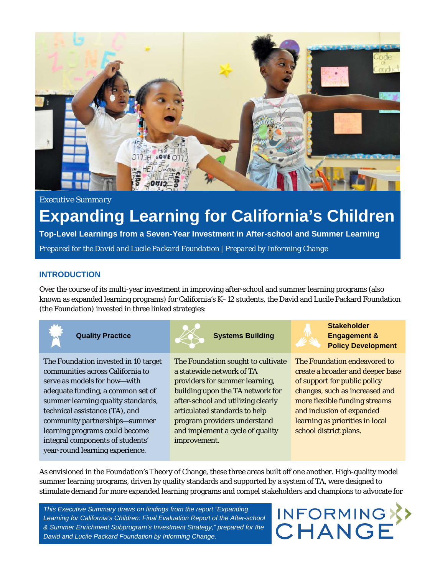

# *Executive Summary* **Expanding Learning for California's Children**

**Top-Level Learnings from a Seven-Year Investment in After-school and Summer Learning** *Prepared for the David and Lucile Packard Foundation | Prepared by Informing Change*

#### **INTRODUCTION**

Over the course of its multi-year investment in improving after-school and summer learning programs (also known as expanded learning programs) for California's K–12 students, the David and Lucile Packard Foundation (the Foundation) invested in three linked strategies:



The Foundation invested in 10 target communities across California to serve as models for how—with adequate funding, a common set of summer learning quality standards, technical assistance (TA), and community partnerships—summer learning programs could become integral components of students' year-round learning experience.



The Foundation sought to cultivate a statewide network of TA providers for summer learning, building upon the TA network for after-school and utilizing clearly articulated standards to help program providers understand and implement a cycle of quality improvement.



**Stakeholder Engagement & Policy Development**

The Foundation endeavored to create a broader and deeper base of support for public policy changes, such as increased and more flexible funding streams and inclusion of expanded learning as priorities in local school district plans.

As envisioned in the Foundation's Theory of Change, these three areas built off one another. High-quality model summer learning programs, driven by quality standards and supported by a system of TA, were designed to stimulate demand for more expanded learning programs and compel stakeholders and champions to advocate for

*This Executive Summary draws on findings from the report "Expanding Learning for California's Children: Final Evaluation Report of the After-school & Summer Enrichment Subprogram's Investment Strategy," prepared for the David and Lucile Packard Foundation by Informing Change.*

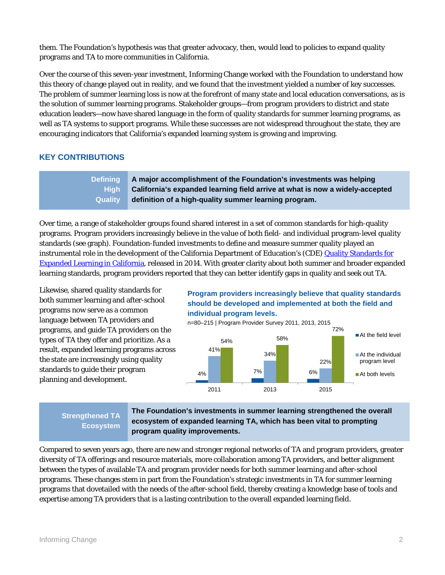them. The Foundation's hypothesis was that greater advocacy, then, would lead to policies to expand quality programs and TA to more communities in California.

Over the course of this seven-year investment, Informing Change worked with the Foundation to understand how this theory of change played out in reality, and we found that the investment yielded a number of key successes. The problem of summer learning loss is now at the forefront of many state and local education conversations, as is the solution of summer learning programs. Stakeholder groups—from program providers to district and state education leaders—now have shared language in the form of quality standards for summer learning programs, as well as TA systems to support programs. While these successes are not widespread throughout the state, they are encouraging indicators that California's expanded learning system is growing and improving.

#### **KEY CONTRIBUTIONS**

#### **Defining High Quality A major accomplishment of the Foundation's investments was helping California's expanded learning field arrive at what is now a widely-accepted definition of a high-quality summer learning program.**

Over time, a range of stakeholder groups found shared interest in a set of common standards for high-quality programs. Program providers increasingly believe in the value of both field- and individual program-level quality standards (see graph). Foundation-funded investments to define and measure summer quality played an instrumental role in the development of the California Department of Education's (CDE) [Quality Standards for](http://www.cde.ca.gov/ls/ba/as/documents/qualstandexplearn.pdf)  [Expanded Learning in California,](http://www.cde.ca.gov/ls/ba/as/documents/qualstandexplearn.pdf) released in 2014. With greater clarity about both summer and broader expanded learning standards, program providers reported that they can better identify gaps in quality and seek out TA.

Likewise, shared quality standards for both summer learning and after-school programs now serve as a common language between TA providers and programs, and guide TA providers on the types of TA they offer and prioritize. As a result, expanded learning programs across the state are increasingly using quality standards to guide their program planning and development.

#### **Program providers increasingly believe that quality standards should be developed and implemented at both the field and individual program levels.**



### **Strengthened TA Ecosystem**

#### **The Foundation's investments in summer learning strengthened the overall ecosystem of expanded learning TA, which has been vital to prompting program quality improvements.**

Compared to seven years ago, there are new and stronger regional networks of TA and program providers, greater diversity of TA offerings and resource materials, more collaboration among TA providers, and better alignment between the types of available TA and program provider needs for both summer learning and after-school programs. These changes stem in part from the Foundation's strategic investments in TA for summer learning programs that dovetailed with the needs of the after-school field, thereby creating a knowledge base of tools and expertise among TA providers that is a lasting contribution to the overall expanded learning field.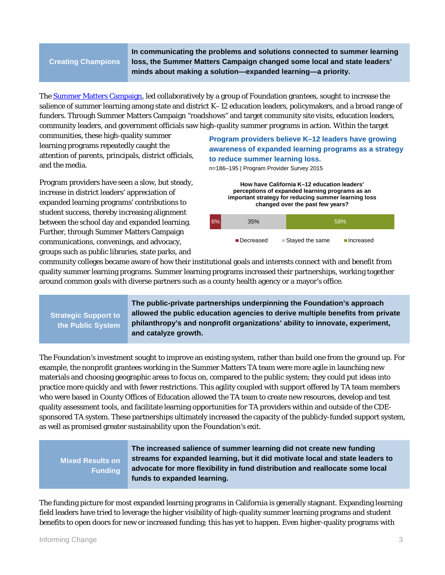#### **Creating Champions**

**In communicating the problems and solutions connected to summer learning loss, the Summer Matters Campaign changed some local and state leaders' minds about making a solution—expanded learning—a priority.**

The **Summer Matters Campaign**, led collaboratively by a group of Foundation grantees, sought to increase the salience of summer learning among state and district K–12 education leaders, policymakers, and a broad range of funders. Through Summer Matters Campaign "roadshows" and target community site visits, education leaders, community leaders, and government officials saw high-quality summer programs in action. Within the target

communities, these high-quality summer learning programs repeatedly caught the attention of parents, principals, district officials, and the media.

Program providers have seen a slow, but steady, increase in district leaders' appreciation of expanded learning programs' contributions to student success, thereby increasing alignment between the school day and expanded learning. Further, through Summer Matters Campaign communications, convenings, and advocacy, groups such as public libraries, state parks, and

**Program providers believe K–12 leaders have growing awareness of expanded learning programs as a strategy to reduce summer learning loss.**

n=186–195 | Program Provider Survey 2015

**How have California K–12 education leaders' perceptions of expanded learning programs as an important strategy for reducing summer learning loss changed over the past few years?**

| 35%        |                   | 58%         |  |
|------------|-------------------|-------------|--|
| ■Decreased | ■ Stayed the same | ■ Increased |  |

community colleges became aware of how their institutional goals and interests connect with and benefit from quality summer learning programs. Summer learning programs increased their partnerships, working together around common goals with diverse partners such as a county health agency or a mayor's office.

## **Strategic Support to the Public System**

**The public-private partnerships underpinning the Foundation's approach allowed the public education agencies to derive multiple benefits from private philanthropy's and nonprofit organizations' ability to innovate, experiment, and catalyze growth.**

The Foundation's investment sought to improve an existing system, rather than build one from the ground up. For example, the nonprofit grantees working in the Summer Matters TA team were more agile in launching new materials and choosing geographic areas to focus on, compared to the public system; they could put ideas into practice more quickly and with fewer restrictions. This agility coupled with support offered by TA team members who were based in County Offices of Education allowed the TA team to create new resources, develop and test quality assessment tools, and facilitate learning opportunities for TA providers within and outside of the CDEsponsored TA system. These partnerships ultimately increased the capacity of the publicly-funded support system, as well as promised greater sustainability upon the Foundation's exit.

**Mixed Results on Funding**

**The increased salience of summer learning did not create new funding streams for expanded learning, but it did motivate local and state leaders to advocate for more flexibility in fund distribution and reallocate some local funds to expanded learning.**

The funding picture for most expanded learning programs in California is generally stagnant. Expanding learning field leaders have tried to leverage the higher visibility of high-quality summer learning programs and student benefits to open doors for new or increased funding; this has yet to happen. Even higher-quality programs with